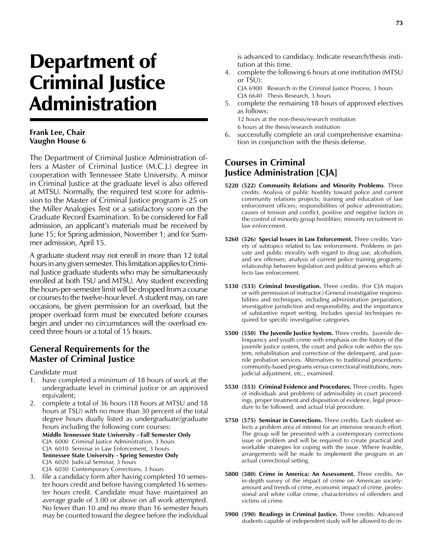## Department of Criminal Justice Administration

## **Frank Lee, Chair Vaughn House 6**

The Department of Criminal Justice Administration offers a Master of Criminal Justice (M.C.J.) degree in cooperation with Tennessee State University. A minor in Criminal Justice at the graduate level is also offered at MTSU. Normally, the required test score for admission to the Master of Criminal Justice program is 25 on the Miller Analogies Test or a satisfactory score on the Graduate Record Examination. To be considered for Fall admission, an applicant's materials must be received by June 15; for Spring admission, November 1; and for Summer admission, April 15.

A graduate student may not enroll in more than 12 total hours in any given semester. This limitation applies to Criminal Justice graduate students who may be simultaneously enrolled at both TSU and MTSU. Any student exceeding the hours-per-semester limit will be dropped from a course or courses to the twelve-hour level. A student may, on rare occasions, be given permission for an overload, but the proper overload form must be executed before courses begin and under no circumstances will the overload exceed three hours or a total of 15 hours.

## **General Requirements for the Master of Criminal Justice**

Candidate must

- 1. have completed a minimum of 18 hours of work at the undergraduate level in criminal justice or an approved equivalent;
- 2. complete a total of 36 hours (18 hours at MTSU and 18 hours at TSU) with no more than 30 percent of the total degree hours dually listed as undergraduate/graduate hours including the following core courses:

**Middle Tennessee State University - Fall Semester Only** CJA 6000 Criminal Justice Administration, 3 hours CJA 6010 Seminar in Law Enforcement, 3 hours **Tennessee State University - Spring Semester Only** CJA 6020 Judicial Seminar, 3 hours

CJA 6030 Contemporary Corrections, 3 hours

3. file a candidacy form after having completed 10 semester hours credit and before having completed 16 semester hours credit. Candidate must have maintained an average grade of 3.00 or above on all work attempted. No fewer than 10 and no more than 16 semester hours may be counted toward the degree before the individual

is advanced to candidacy. Indicate research/thesis institution at this time.

4. complete the following 6 hours at one institution (MTSU or TSU):

CJA 6900 Research in the Criminal Justice Process, 3 hours CJA 6640 Thesis Research, 3 hours

5. complete the remaining 18 hours of approved electives as follows:

12 hours at the non-thesis/research institution 6 hours at the thesis/research institution

6. successfully complete an oral comprehensive examination in conjunction with the thesis defense.

## **Courses in Criminal Justice Administration [CJA]**

- **5220 (522) Community Relations and Minority Problems**. Three credits. Analysis of public hostility toward police and current community relations projects; training and education of law enforcement officers; responsibilities of police administrators; causes of tension and conflict, positive and negative factors in the control of minority group hostilities; minority recruitment in law enforcement.
- **5260 (526) Special Issues in Law Enforcement.** Three credits. Variety of subtopics related to law enforcement. Problems in private and public morality with regard to drug use, alcoholism, and sex offenses; analysis of current police training programs; relationship between legislation and political process which affects law enforcement.
- **5330 (533) Criminal Investigation.** Three credits. (For CJA majors or with permission of instructor.) General investigative responsibilities and techniques, including administration preparation, investigative jurisdiction and responsibility, and the importance of substantive report writing. Includes special techniques required for specific investigative categories.
- **5500 (550) The Juvenile Justice System.** Three credits. Juvenile delinquency and youth crime with emphasis on the history of the juvenile justice system, the court and police role within the system, rehabilitation and correction of the delinquent, and juvenile probation services. Alternatives to traditional procedures: community-based programs versus correctional institutions, nonjudicial adjustment, etc., examined.
- **5530 (553) Criminal Evidence and Procedures.** Three credits. Types of individuals and problems of admissibility in court proceedings, proper treatment and disposition of evidence, legal procedure to be followed, and actual trial procedure.
- **5750 (575) Seminar in Corrections.** Three credits. Each student selects a problem area of interest for an intensive research effort. The group will be presented with a contemporary corrections issue or problem and will be required to create practical and workable strategies for coping with the issue. Where feasible, arrangements will be made to implement the program in an actual correctional setting.
- **5800 (580) Crime in America: An Assessment.** Three credits. An in-depth survey of the impact of crime on American society: amount and trends of crime, economic impact of crime, professional and white collar crime, characteristics of offenders and victims of crime.
- **5900 (590) Readings in Criminal Justice.** Three credits. Advanced students capable of independent study will be allowed to do in-